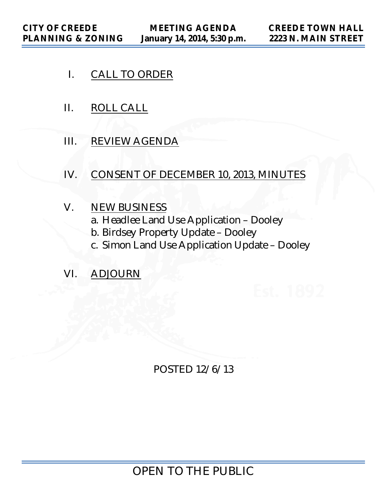- I. CALL TO ORDER
- II. ROLL CALL
- III. REVIEW AGENDA
- IV. CONSENT OF DECEMBER 10, 2013, MINUTES
- V. NEW BUSINESS
	- a. Headlee Land Use Application Dooley
	- b. Birdsey Property Update Dooley
	- c. Simon Land Use Application Update Dooley
- VI. ADJOURN

POSTED 12/6/13